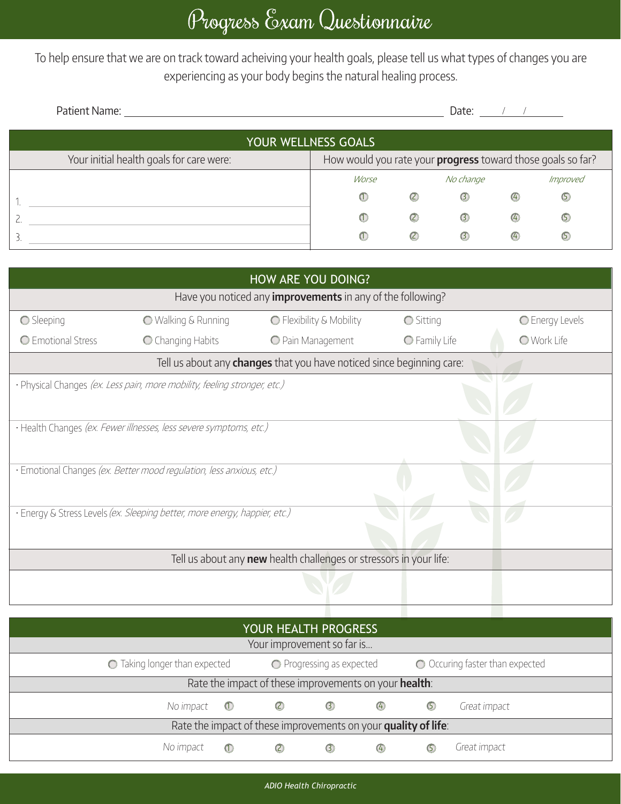To help ensure that we are on track toward acheiving your health goals, please tell us what types of changes you are experiencing as your body begins the natural healing process.

| Patient Name:                            |                                                             | Date:         |               |               |                |  |  |  |  |  |  |
|------------------------------------------|-------------------------------------------------------------|---------------|---------------|---------------|----------------|--|--|--|--|--|--|
| YOUR WELLNESS GOALS                      |                                                             |               |               |               |                |  |  |  |  |  |  |
| Your initial health goals for care were: | How would you rate your progress toward those goals so far? |               |               |               |                |  |  |  |  |  |  |
|                                          | Worse                                                       |               | No change     |               | Improved       |  |  |  |  |  |  |
|                                          | $^{\textcircled{\tiny{1}}}$                                 | $\circled{c}$ | $\odot$       | $\bigcirc$    | $\circledcirc$ |  |  |  |  |  |  |
|                                          | $\circ$                                                     | $\circled{c}$ | $\circled{3}$ | $\circled{4}$ | $\circ$        |  |  |  |  |  |  |
| 3                                        | $\omega$                                                    | $\circled{c}$ | $\circ$       | $\circled{4}$ | (5             |  |  |  |  |  |  |

| HOW ARE YOU DOING?                                                    |                          |                                                                                                                                                                                                                                 |                    |  |  |  |  |  |
|-----------------------------------------------------------------------|--------------------------|---------------------------------------------------------------------------------------------------------------------------------------------------------------------------------------------------------------------------------|--------------------|--|--|--|--|--|
| Have you noticed any <i>improvements</i> in any of the following?     |                          |                                                                                                                                                                                                                                 |                    |  |  |  |  |  |
| <b>O</b> Walking & Running                                            | O Flexibility & Mobility | <b>○</b> Sitting                                                                                                                                                                                                                | C Energy Levels    |  |  |  |  |  |
| C Changing Habits                                                     | O Pain Management        | O Family Life                                                                                                                                                                                                                   | <b>O</b> Work Life |  |  |  |  |  |
| Tell us about any changes that you have noticed since beginning care: |                          |                                                                                                                                                                                                                                 |                    |  |  |  |  |  |
|                                                                       |                          |                                                                                                                                                                                                                                 |                    |  |  |  |  |  |
|                                                                       |                          |                                                                                                                                                                                                                                 |                    |  |  |  |  |  |
| · Health Changes (ex. Fewer illnesses, less severe symptoms, etc.)    |                          |                                                                                                                                                                                                                                 |                    |  |  |  |  |  |
|                                                                       |                          |                                                                                                                                                                                                                                 |                    |  |  |  |  |  |
|                                                                       |                          |                                                                                                                                                                                                                                 |                    |  |  |  |  |  |
|                                                                       |                          |                                                                                                                                                                                                                                 |                    |  |  |  |  |  |
|                                                                       |                          |                                                                                                                                                                                                                                 |                    |  |  |  |  |  |
|                                                                       |                          |                                                                                                                                                                                                                                 |                    |  |  |  |  |  |
| Tell us about any new health challenges or stressors in your life:    |                          |                                                                                                                                                                                                                                 |                    |  |  |  |  |  |
|                                                                       |                          |                                                                                                                                                                                                                                 |                    |  |  |  |  |  |
|                                                                       |                          |                                                                                                                                                                                                                                 |                    |  |  |  |  |  |
|                                                                       |                          | · Physical Changes (ex. Less pain, more mobility, feeling stronger, etc.)<br>· Emotional Changes (ex. Better mood regulation, less anxious, etc.)<br>· Energy & Stress Levels (ex. Sleeping better, more energy, happier, etc.) |                    |  |  |  |  |  |

| YOUR HEALTH PROGRESS                                           |         |                           |               |               |                                 |              |  |
|----------------------------------------------------------------|---------|---------------------------|---------------|---------------|---------------------------------|--------------|--|
| Your improvement so far is                                     |         |                           |               |               |                                 |              |  |
| $\bigcirc$ Taking longer than expected                         |         | ◯ Progressing as expected |               |               | O Occuring faster than expected |              |  |
| Rate the impact of these improvements on your health:          |         |                           |               |               |                                 |              |  |
| No impact $\bigcirc$                                           |         | $\circled{c}$             | $\circled{3}$ | $\circled{4}$ | $\circledcirc$                  | Great impact |  |
| Rate the impact of these improvements on your quality of life: |         |                           |               |               |                                 |              |  |
| No impact                                                      | $\circ$ | $\left( 2\right)$         | $\circled{3}$ | $\circled{4}$ | (5)                             | Great impact |  |